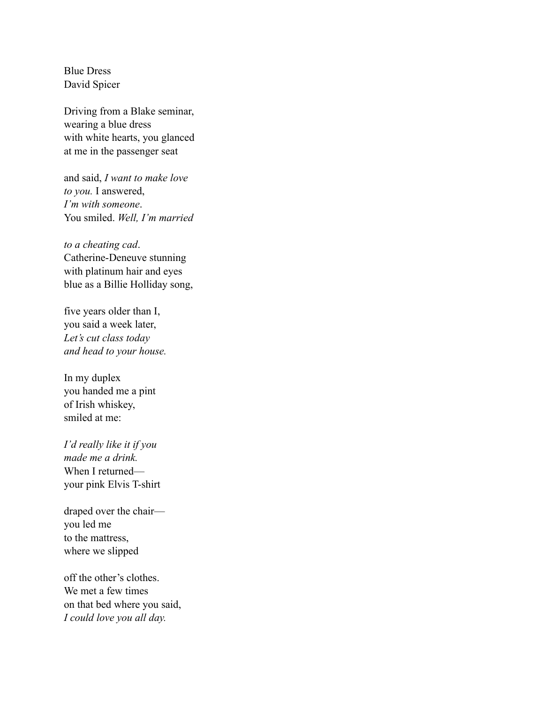Blue Dress David Spicer

Driving from a Blake seminar, wearing a blue dress with white hearts, you glanced at me in the passenger seat

and said, *I want to make love to you.* I answered, *I'm with someone*. You smiled. *Well, I'm married*

*to a cheating cad*. Catherine-Deneuve stunning with platinum hair and eyes blue as a Billie Holliday song,

five years older than I, you said a week later, *Let's cut class today and head to your house.* 

In my duplex you handed me a pint of Irish whiskey, smiled at me:

*I'd really like it if you made me a drink.*  When I returned your pink Elvis T-shirt

draped over the chair you led me to the mattress, where we slipped

off the other's clothes. We met a few times on that bed where you said, *I could love you all day.*